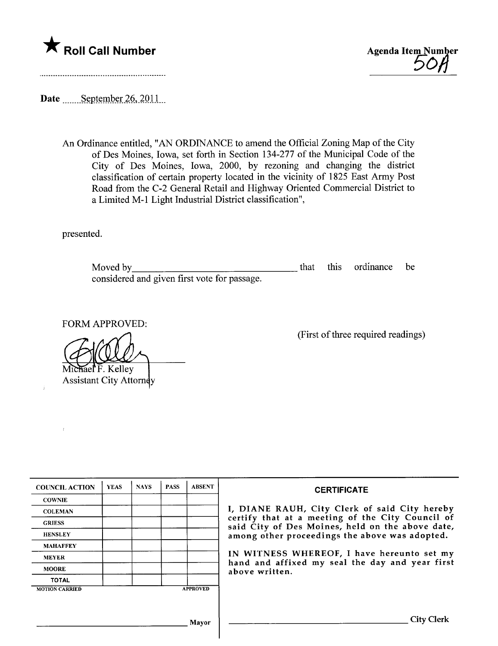



<u> 1986 - John Stoff, Amerikaansk kanton en beskriuwer om de steedste steedste steedste steedste steedste steed</u>

Date September  $26, 2011$ 

An Ordinance entitled, "AN ORDINANCE to amend the Official Zoning Map of the City of Des Moines, Iowa, set forth in Section 134-277 of the Municipal Code of the City of Des Moines, Iowa, 2000, by rezoning and changing the district classification of certain property located in the vicinity of 1825 East Army Post Road from the C-2 General Retail and Highway Oriented Commercial District to a Limited M-1 Light Industrial District classification",

presented.

ý

Moved by considered and given first vote for passage. that this ordinance be

FORM APPROVED:

rael F. Kelley

**Assistant City Attorney** 

(First of three required readings)

| <b>COUNCIL ACTION</b> | <b>YEAS</b> | <b>NAYS</b> | <b>PASS</b> | <b>ABSENT</b>   | <b>CERTIFICATE</b>                                                                                                                                                                                                                                                        |
|-----------------------|-------------|-------------|-------------|-----------------|---------------------------------------------------------------------------------------------------------------------------------------------------------------------------------------------------------------------------------------------------------------------------|
| <b>COWNIE</b>         |             |             |             |                 |                                                                                                                                                                                                                                                                           |
| <b>COLEMAN</b>        |             |             |             |                 | I, DIANE RAUH, City Clerk of said City hereby                                                                                                                                                                                                                             |
| <b>GRIESS</b>         |             |             |             |                 | certify that at a meeting of the City Council of<br>said City of Des Moines, held on the above date,<br>among other proceedings the above was adopted.<br>IN WITNESS WHEREOF, I have hereunto set my<br>hand and affixed my seal the day and year first<br>above written. |
| <b>HENSLEY</b>        |             |             |             |                 |                                                                                                                                                                                                                                                                           |
| <b>MAHAFFEY</b>       |             |             |             |                 |                                                                                                                                                                                                                                                                           |
| <b>MEYER</b>          |             |             |             |                 |                                                                                                                                                                                                                                                                           |
| <b>MOORE</b>          |             |             |             |                 |                                                                                                                                                                                                                                                                           |
| <b>TOTAL</b>          |             |             |             |                 |                                                                                                                                                                                                                                                                           |
| <b>MOTION CARRIED</b> |             |             |             | <b>APPROVED</b> |                                                                                                                                                                                                                                                                           |
|                       |             |             |             |                 |                                                                                                                                                                                                                                                                           |
|                       |             |             |             |                 |                                                                                                                                                                                                                                                                           |
|                       |             |             |             | Mayor           | <b>City Clerk</b>                                                                                                                                                                                                                                                         |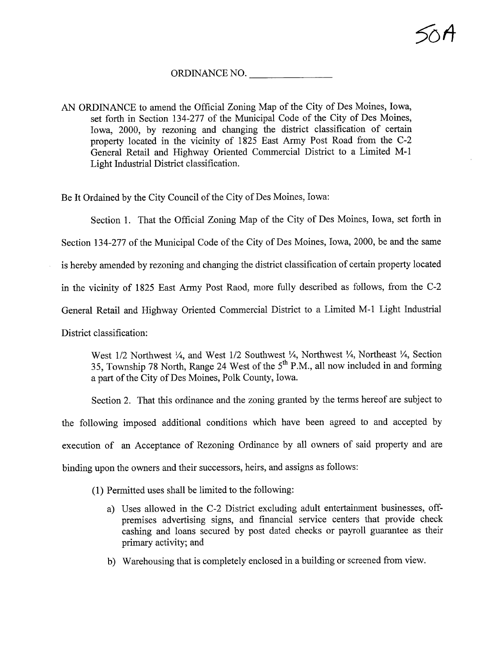## ORDINANCE NO.

AN ORDINANCE to amend the Official Zoning Map of the City of Des Moines, Iowa, set forth in Section 134-277 of the Municipal Code of the City of Des Moines, Iowa, 2000, by rezoning and changing the district classification of certain property located in the vicinity of 1825 East Army Post Road from the C-2 General Retail and Highway Oriented Commercial District to a Limited M-l Light Industrial District classification.

Be It Ordained by the City Council of the City of Des Moines, Iowa:

Section 1. That the Official Zoning Map of the City of Des Moines, Iowa, set forth in Section 134-277 of the Municipal Code of the City of Des Moines, Iowa, 2000, be and the same is hereby amended by rezoning and changing the district classification of certain property located in the vicinity of 1825 East Army Post Raod, more fully described as follows, from the C-2 General Retail and Highway Oriented Commercial District to a Limited M-l Light Industrial District classification:

West  $1/2$  Northwest  $\frac{1}{4}$ , and West  $1/2$  Southwest  $\frac{1}{4}$ , Northwest  $\frac{1}{4}$ , Northeast  $\frac{1}{4}$ , Section 35, Township 78 North, Range 24 West of the  $5<sup>th</sup>$  P.M., all now included in and forming a part of the City of Des Moines, Polk County, Iowa.

Section 2. That this ordinance and the zoning granted by the terms hereof are subject to the following imposed additional conditions which have been agreed to and accepted by execution of an Acceptance of Rezoning Ordinance by all owners of said property and are binding upon the owners and their successors, heirs, and assigns as follows:

(1) Permitted uses shall be limited to the following:

- a) Uses allowed in the C-2 District excluding adult entertainment businesses, offpremises advertising signs, and financial service centers that provide check cashing and loans secured by post dated checks or payroll guarantee as their primary activity; and
- b) Warehousing that is completely enclosed in a building or screened from view.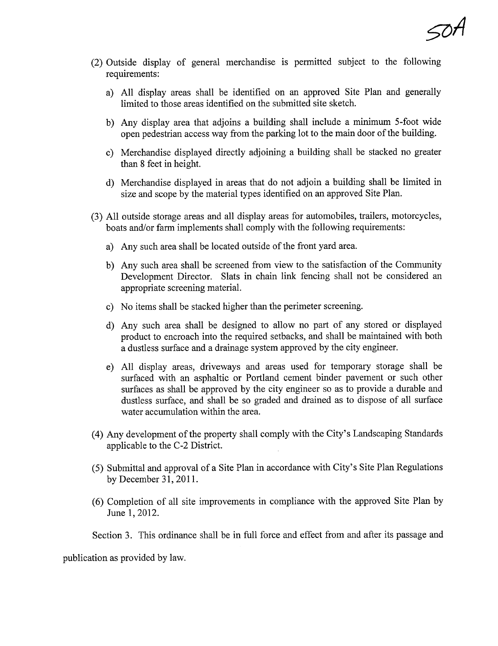- (2) Outside display of general merchandise is permitted subject to the following requirements:
	- a) All display areas shall be identified on an approved Site Plan and generally limited to those areas identified on the submitted site sketch.
	- b) Any display area that adjoins a building shall include a minmum 5-foot wide open pedestrian access way from the parking lot to the main door of the building.
	- c) Merchandise displayed directly adjoinig a building shall be stacked no greater than 8 feet in height.
	- d) Merchandise displayed in areas that do not adjoin a building shall be limited in size and scope by the material types identified on an approved Site Plan.
- (3) All outside storage areas and all display areas for automobiles, trailers, motorcycles, boats and/or farm implements shall comply with the following requirements:
	- a) Any such area shall be located outside of the front yard area.
	- b) Any such area shall be screened from view to the satisfaction of the Community Development Director. Slats in chain link fencing shall not be considered an appropriate screening material.
	- c) No items shall be stacked higher than the perimeter screening.
	- d) Any such area shall be designed to allow no part of any stored or displayed product to encroach into the required setbacks, and shall be maintained with both a dustless surface and a drainage system approved by the city engineer.
	- e) All display areas, driveways and areas used for temporary storage shall be surfaced with an asphaltic or Portland cement binder pavement or such other surfaces as shall be approved by the city engineer so as to provide a durable and dustless surface, and shall be so graded and drained as to dispose of all surface water accumulation within the area.
- (4) Any development of the property shall comply with the City's Landscaping Standards applicable to the C-2 District.
- (5) Submittal and approval of a Site Plan in accordance with City's Site Plan Regulations by December 31, 2011.
- (6) Completion of all site improvements in compliance with the approved Site Plan by June 1,2012.

Section 3. This ordinance shall be in full force and effect from and after its passage and

publication as provided by law.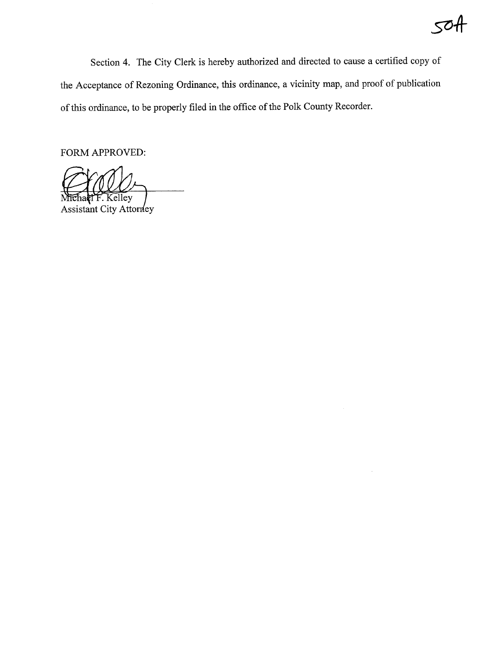## Sli4

Section 4. The City Clerk is hereby authorized and directed to cause a certified copy of the Acceptance of Rezoning Ordinance, this ordinance, a vicinity map, and proof of publication of this ordinance, to be properly filed in the office of the Polk County Recorder.

FORM APPROVED:

Michael F. Kelley<br>Assistant City Attorney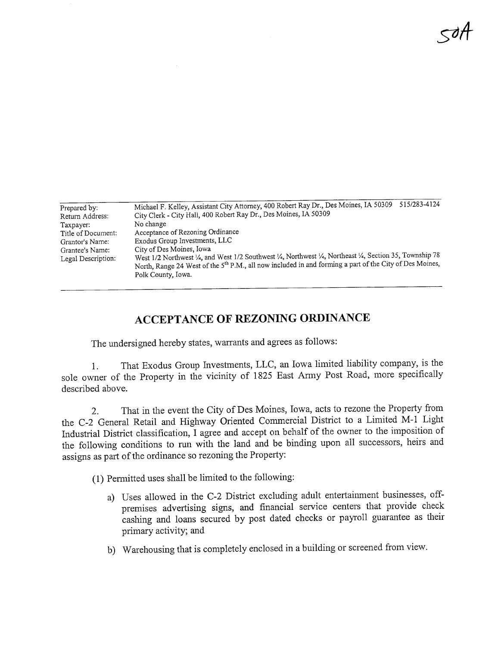$<$ dH

| Prepared by:       | 515/283-4124<br>Michael F. Kelley, Assistant City Attorney, 400 Robert Ray Dr., Des Moines, IA 50309                |  |  |  |  |
|--------------------|---------------------------------------------------------------------------------------------------------------------|--|--|--|--|
| Return Address:    | City Clerk - City Hall, 400 Robert Ray Dr., Des Moines, IA 50309                                                    |  |  |  |  |
| Taxpayer:          | No change                                                                                                           |  |  |  |  |
| Title of Document: | Acceptance of Rezoning Ordinance                                                                                    |  |  |  |  |
| Grantor's Name:    | Exodus Group Investments, LLC                                                                                       |  |  |  |  |
| Grantee's Name:    | City of Des Moines, Iowa                                                                                            |  |  |  |  |
| Legal Description: | West 1/2 Northwest 1/4, and West 1/2 Southwest 1/4, Northwest 1/4, Northeast 1/4, Section 35, Township 78           |  |  |  |  |
|                    | North, Range 24 West of the 5 <sup>th</sup> P.M., all now included in and forming a part of the City of Des Moines, |  |  |  |  |
|                    | Polk County, Iowa.                                                                                                  |  |  |  |  |

## ACCEPTANCE OF REZONING ORDINANCE

The undersigned hereby states, warrants and agrees as follows:

1. That Exodus Group Investments, LLC, an Iowa limited liability company, is the sole owner of the Property in the vicinity of 1825 East Army Post Road, more specifically described above.

2. That in the event the City of Des Moines, Iowa, acts to rezone the Property from the C-2 General Retail and Highway Oriented Commercial District to a Limited M-l Light Industrial District classification, I agree and accept on behalf of the owner to the imposition of the following conditions to run with the land and be binding upon all successors, heirs and assigns as part of the ordinance so rezoning the Property:

(1) Permitted uses shall be limited to the following:

- a) Uses allowed in the C-2 District excluding adult entertainment businesses, offpremises advertising signs, and financial service centers that provide check cashing and loans secured by post dated checks or payroll guarantee as their primary activity; and
- b) Warehousing that is completely enclosed in a building or screened from view.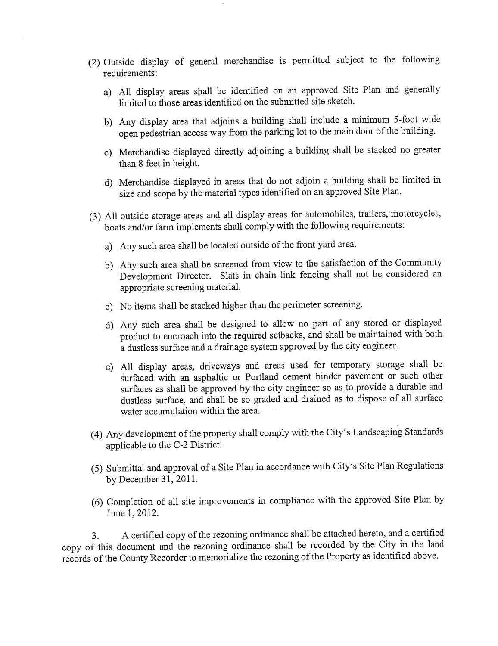- (2) Outside display of general merchandise is permitted subject to the following requirements:
	- a) All display areas shall be identified on an approved Site Plan and generally limited to those areas identified on the submitted site sketch.
	- b) Any display area that adjoins a building shall include a minimum 5-foot wide open pedestrian access way from the parking lot to the main door of the building.
	- c) Merchandise displayed directly adjoining a building shall be stacked no greater than 8 feet in height.
	- d) Merchandise displayed in areas that do not adjoin a building shall be limited in size and scope by the material types identified on an approved Site Plan.
- boats and/or farm implements shall comply with the following requirements:
	- a) Any such area shall be located outside of the front yard area.
	- b) Any such area shall be screened from view to the satisfaction of the Community Development Director. Slats in chain link fencing shall not be considered an appropriate screenig materiaL.
	- c) No items shall be stacked higher than the perimeter screening.
	- d) Any such area shall be designed to allow no part of any stored or displayed product to encroach into the required setbacks, and shall be maintained with both a dustless surface and a drainage system approved by the city engineer.
	- e) All display areas, driveways and areas used for temporary storage shall be surfaced with an asphaltic or Portland cement binder pavement or such other surfaces as shall be approved by the city engineer so as to provide a durable and dustless surface, and shall be so graded and drained as to dispose of all surface water accumulation within the area.
- (4) Any development of the property shall comply with the City's Landscaping Standards applicable to the C-2 District.
- (5) Submittal and approval of a Site Plan in accordance with City's Site Plan Regulations by December 31,2011.
- (6) Completion of all site improvements in compliance with the approved Site Plan by June 1,2012.

3. A certified copy of the rezoning ordinance shall be attached hereto, and a certified copy of this document and the rezoning ordinance shall be recorded by the City in the land records of the County Recorder to memorialize the rezoning of the Property as identified above.